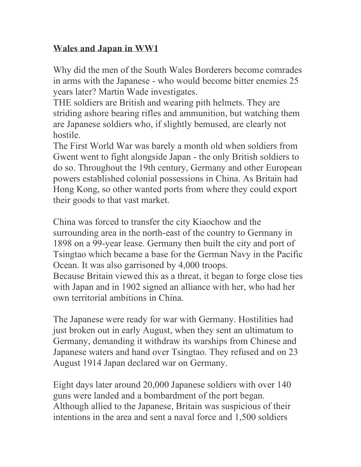## **Wales and Japan in WW1**

Why did the men of the South Wales Borderers become comrades in arms with the Japanese - who would become bitter enemies 25 years later? Martin Wade investigates.

THE soldiers are British and wearing pith helmets. They are striding ashore bearing rifles and ammunition, but watching them are Japanese soldiers who, if slightly bemused, are clearly not hostile.

The First World War was barely a month old when soldiers from Gwent went to fight alongside Japan - the only British soldiers to do so. Throughout the 19th century, Germany and other European powers established colonial possessions in China. As Britain had Hong Kong, so other wanted ports from where they could export their goods to that vast market.

China was forced to transfer the city Kiaochow and the surrounding area in the north-east of the country to Germany in 1898 on a 99-year lease. Germany then built the city and port of Tsingtao which became a base for the German Navy in the Pacific Ocean. It was also garrisoned by 4,000 troops. Because Britain viewed this as a threat, it began to forge close ties with Japan and in 1902 signed an alliance with her, who had her own territorial ambitions in China.

The Japanese were ready for war with Germany. Hostilities had just broken out in early August, when they sent an ultimatum to Germany, demanding it withdraw its warships from Chinese and Japanese waters and hand over Tsingtao. They refused and on 23 August 1914 Japan declared war on Germany.

Eight days later around 20,000 Japanese soldiers with over 140 guns were landed and a bombardment of the port began. Although allied to the Japanese, Britain was suspicious of their intentions in the area and sent a naval force and 1,500 soldiers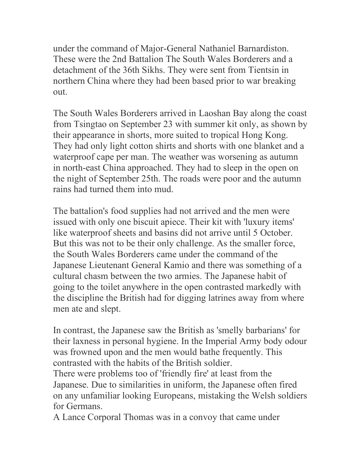under the command of Major-General Nathaniel Barnardiston. These were the 2nd Battalion The South Wales Borderers and a detachment of the 36th Sikhs. They were sent from Tientsin in northern China where they had been based prior to war breaking out.

The South Wales Borderers arrived in Laoshan Bay along the coast from Tsingtao on September 23 with summer kit only, as shown by their appearance in shorts, more suited to tropical Hong Kong. They had only light cotton shirts and shorts with one blanket and a waterproof cape per man. The weather was worsening as autumn in north-east China approached. They had to sleep in the open on the night of September 25th. The roads were poor and the autumn rains had turned them into mud.

The battalion's food supplies had not arrived and the men were issued with only one biscuit apiece. Their kit with 'luxury items' like waterproof sheets and basins did not arrive until 5 October. But this was not to be their only challenge. As the smaller force, the South Wales Borderers came under the command of the Japanese Lieutenant General Kamio and there was something of a cultural chasm between the two armies. The Japanese habit of going to the toilet anywhere in the open contrasted markedly with the discipline the British had for digging latrines away from where men ate and slept.

In contrast, the Japanese saw the British as 'smelly barbarians' for their laxness in personal hygiene. In the Imperial Army body odour was frowned upon and the men would bathe frequently. This contrasted with the habits of the British soldier.

There were problems too of 'friendly fire' at least from the Japanese. Due to similarities in uniform, the Japanese often fired on any unfamiliar looking Europeans, mistaking the Welsh soldiers for Germans.

A Lance Corporal Thomas was in a convoy that came under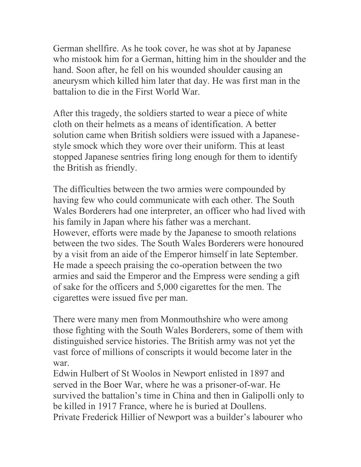German shellfire. As he took cover, he was shot at by Japanese who mistook him for a German, hitting him in the shoulder and the hand. Soon after, he fell on his wounded shoulder causing an aneurysm which killed him later that day. He was first man in the battalion to die in the First World War.

After this tragedy, the soldiers started to wear a piece of white cloth on their helmets as a means of identification. A better solution came when British soldiers were issued with a Japanesestyle smock which they wore over their uniform. This at least stopped Japanese sentries firing long enough for them to identify the British as friendly.

The difficulties between the two armies were compounded by having few who could communicate with each other. The South Wales Borderers had one interpreter, an officer who had lived with his family in Japan where his father was a merchant. However, efforts were made by the Japanese to smooth relations between the two sides. The South Wales Borderers were honoured by a visit from an aide of the Emperor himself in late September. He made a speech praising the co-operation between the two armies and said the Emperor and the Empress were sending a gift of sake for the officers and 5,000 cigarettes for the men. The cigarettes were issued five per man.

There were many men from Monmouthshire who were among those fighting with the South Wales Borderers, some of them with distinguished service histories. The British army was not yet the vast force of millions of conscripts it would become later in the war.

Edwin Hulbert of St Woolos in Newport enlisted in 1897 and served in the Boer War, where he was a prisoner-of-war. He survived the battalion's time in China and then in Galipolli only to be killed in 1917 France, where he is buried at Doullens. Private Frederick Hillier of Newport was a builder's labourer who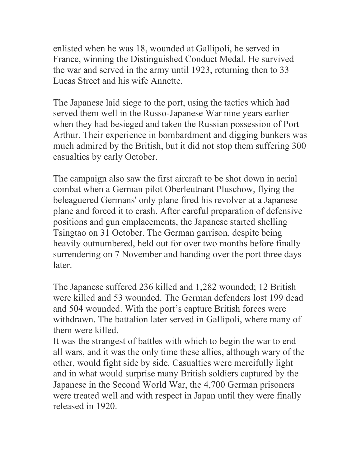enlisted when he was 18, wounded at Gallipoli, he served in France, winning the Distinguished Conduct Medal. He survived the war and served in the army until 1923, returning then to 33 Lucas Street and his wife Annette.

The Japanese laid siege to the port, using the tactics which had served them well in the Russo-Japanese War nine years earlier when they had besieged and taken the Russian possession of Port Arthur. Their experience in bombardment and digging bunkers was much admired by the British, but it did not stop them suffering 300 casualties by early October.

The campaign also saw the first aircraft to be shot down in aerial combat when a German pilot Oberleutnant Pluschow, flying the beleaguered Germans' only plane fired his revolver at a Japanese plane and forced it to crash. After careful preparation of defensive positions and gun emplacements, the Japanese started shelling Tsingtao on 31 October. The German garrison, despite being heavily outnumbered, held out for over two months before finally surrendering on 7 November and handing over the port three days later.

The Japanese suffered 236 killed and 1,282 wounded; 12 British were killed and 53 wounded. The German defenders lost 199 dead and 504 wounded. With the port's capture British forces were withdrawn. The battalion later served in Gallipoli, where many of them were killed.

It was the strangest of battles with which to begin the war to end all wars, and it was the only time these allies, although wary of the other, would fight side by side. Casualties were mercifully light and in what would surprise many British soldiers captured by the Japanese in the Second World War, the 4,700 German prisoners were treated well and with respect in Japan until they were finally released in 1920.